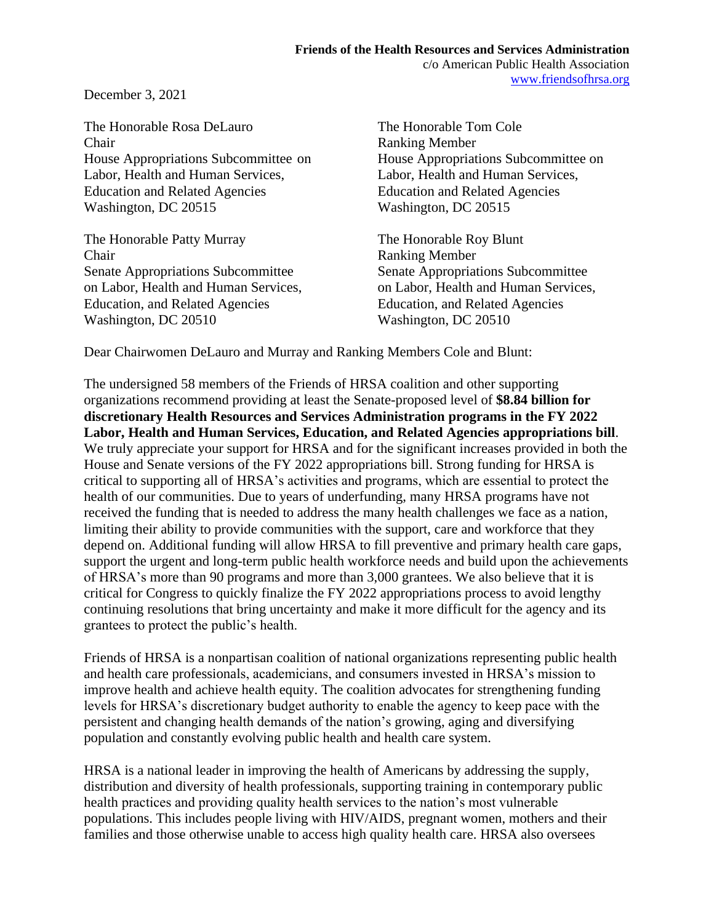December 3, 2021

The Honorable Rosa DeLauro The Honorable Tom Cole Chair Ranking Member House Appropriations Subcommittee on House Appropriations Subcommittee on Labor, Health and Human Services, Labor, Health and Human Services, Education and Related Agencies Education and Related Agencies Washington, DC 20515 Washington, DC 20515

The Honorable Patty Murray The Honorable Roy Blunt **Chair** Ranking Member Senate Appropriations Subcommittee Senate Appropriations Subcommittee on Labor, Health and Human Services, on Labor, Health and Human Services, Education, and Related Agencies Education, and Related Agencies Washington, DC 20510 Washington, DC 20510

Dear Chairwomen DeLauro and Murray and Ranking Members Cole and Blunt:

The undersigned 58 members of the Friends of HRSA coalition and other supporting organizations recommend providing at least the Senate-proposed level of **\$8.84 billion for discretionary Health Resources and Services Administration programs in the FY 2022 Labor, Health and Human Services, Education, and Related Agencies appropriations bill**. We truly appreciate your support for HRSA and for the significant increases provided in both the House and Senate versions of the FY 2022 appropriations bill. Strong funding for HRSA is critical to supporting all of HRSA's activities and programs, which are essential to protect the health of our communities. Due to years of underfunding, many HRSA programs have not received the funding that is needed to address the many health challenges we face as a nation, limiting their ability to provide communities with the support, care and workforce that they depend on. Additional funding will allow HRSA to fill preventive and primary health care gaps, support the urgent and long-term public health workforce needs and build upon the achievements of HRSA's more than 90 programs and more than 3,000 grantees. We also believe that it is critical for Congress to quickly finalize the FY 2022 appropriations process to avoid lengthy continuing resolutions that bring uncertainty and make it more difficult for the agency and its grantees to protect the public's health.

Friends of HRSA is a nonpartisan coalition of national organizations representing public health and health care professionals, academicians, and consumers invested in HRSA's mission to improve health and achieve health equity. The coalition advocates for strengthening funding levels for HRSA's discretionary budget authority to enable the agency to keep pace with the persistent and changing health demands of the nation's growing, aging and diversifying population and constantly evolving public health and health care system.

HRSA is a national leader in improving the health of Americans by addressing the supply, distribution and diversity of health professionals, supporting training in contemporary public health practices and providing quality health services to the nation's most vulnerable populations. This includes people living with HIV/AIDS, pregnant women, mothers and their families and those otherwise unable to access high quality health care. HRSA also oversees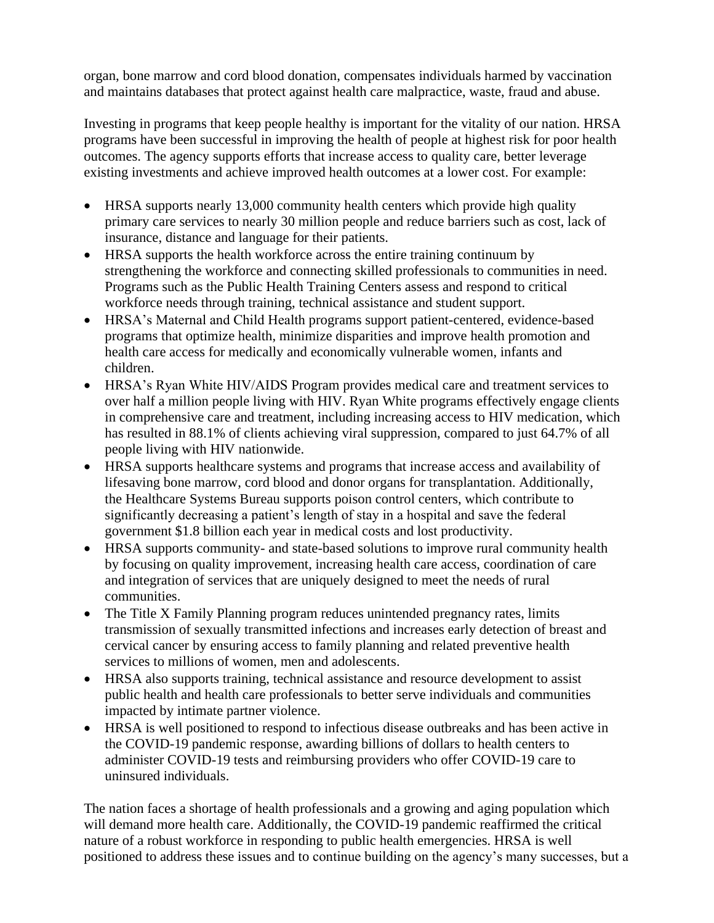organ, bone marrow and cord blood donation, compensates individuals harmed by vaccination and maintains databases that protect against health care malpractice, waste, fraud and abuse.

Investing in programs that keep people healthy is important for the vitality of our nation. HRSA programs have been successful in improving the health of people at highest risk for poor health outcomes. The agency supports efforts that increase access to quality care, better leverage existing investments and achieve improved health outcomes at a lower cost. For example:

- HRSA supports nearly 13,000 community health centers which provide high quality primary care services to nearly 30 million people and reduce barriers such as cost, lack of insurance, distance and language for their patients.
- HRSA supports the health workforce across the entire training continuum by strengthening the workforce and connecting skilled professionals to communities in need. Programs such as the Public Health Training Centers assess and respond to critical workforce needs through training, technical assistance and student support.
- HRSA's Maternal and Child Health programs support patient-centered, evidence-based programs that optimize health, minimize disparities and improve health promotion and health care access for medically and economically vulnerable women, infants and children.
- HRSA's Ryan White HIV/AIDS Program provides medical care and treatment services to over half a million people living with HIV. Ryan White programs effectively engage clients in comprehensive care and treatment, including increasing access to HIV medication, which has resulted in 88.1% of clients achieving viral suppression, compared to just 64.7% of all people living with HIV nationwide.
- HRSA supports healthcare systems and programs that increase access and availability of lifesaving bone marrow, cord blood and donor organs for transplantation. Additionally, the Healthcare Systems Bureau supports poison control centers, which contribute to significantly decreasing a patient's length of stay in a hospital and save the federal government \$1.8 billion each year in medical costs and lost productivity.
- HRSA supports community- and state-based solutions to improve rural community health by focusing on quality improvement, increasing health care access, coordination of care and integration of services that are uniquely designed to meet the needs of rural communities.
- The Title X Family Planning program reduces unintended pregnancy rates, limits transmission of sexually transmitted infections and increases early detection of breast and cervical cancer by ensuring access to family planning and related preventive health services to millions of women, men and adolescents.
- HRSA also supports training, technical assistance and resource development to assist public health and health care professionals to better serve individuals and communities impacted by intimate partner violence.
- HRSA is well positioned to respond to infectious disease outbreaks and has been active in the COVID-19 pandemic response, awarding billions of dollars to health centers to administer COVID-19 tests and reimbursing providers who offer COVID-19 care to uninsured individuals.

The nation faces a shortage of health professionals and a growing and aging population which will demand more health care. Additionally, the COVID-19 pandemic reaffirmed the critical nature of a robust workforce in responding to public health emergencies. HRSA is well positioned to address these issues and to continue building on the agency's many successes, but a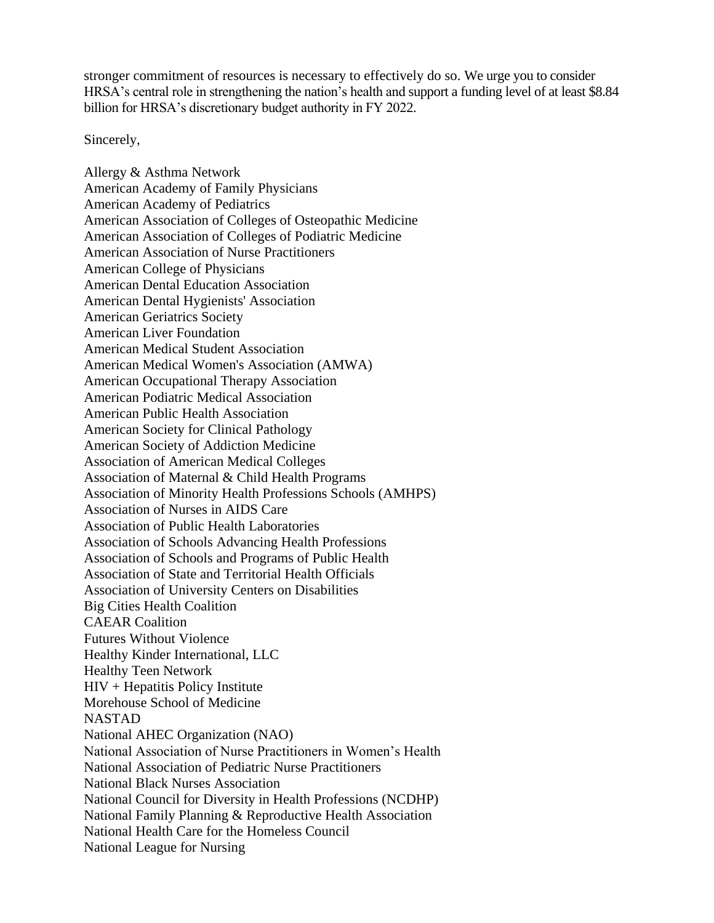stronger commitment of resources is necessary to effectively do so. We urge you to consider HRSA's central role in strengthening the nation's health and support a funding level of at least \$8.84 billion for HRSA's discretionary budget authority in FY 2022.

Sincerely,

Allergy & Asthma Network American Academy of Family Physicians American Academy of Pediatrics American Association of Colleges of Osteopathic Medicine American Association of Colleges of Podiatric Medicine American Association of Nurse Practitioners American College of Physicians American Dental Education Association American Dental Hygienists' Association American Geriatrics Society American Liver Foundation American Medical Student Association American Medical Women's Association (AMWA) American Occupational Therapy Association American Podiatric Medical Association American Public Health Association American Society for Clinical Pathology American Society of Addiction Medicine Association of American Medical Colleges Association of Maternal & Child Health Programs Association of Minority Health Professions Schools (AMHPS) Association of Nurses in AIDS Care Association of Public Health Laboratories Association of Schools Advancing Health Professions Association of Schools and Programs of Public Health Association of State and Territorial Health Officials Association of University Centers on Disabilities Big Cities Health Coalition CAEAR Coalition Futures Without Violence Healthy Kinder International, LLC Healthy Teen Network HIV + Hepatitis Policy Institute Morehouse School of Medicine NASTAD National AHEC Organization (NAO) National Association of Nurse Practitioners in Women's Health National Association of Pediatric Nurse Practitioners National Black Nurses Association National Council for Diversity in Health Professions (NCDHP) National Family Planning & Reproductive Health Association National Health Care for the Homeless Council National League for Nursing